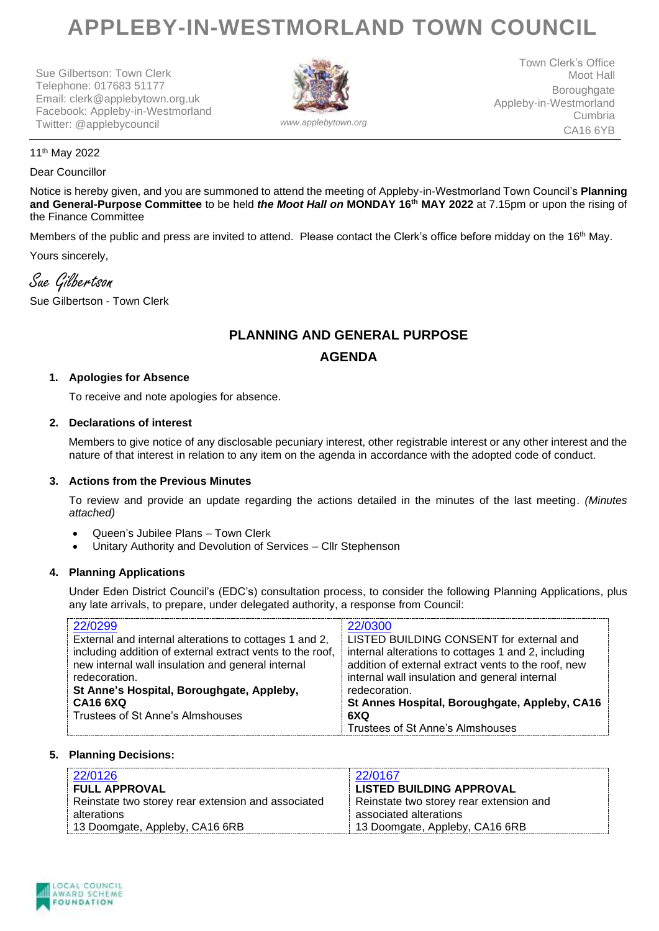# **APPLEBY-IN-WESTMORLAND TOWN COUNCIL**

Sue Gilbertson: Town Clerk Telephone: 017683 51177 Email: clerk@applebytown.org.uk Facebook: Appleby-in-Westmorland Twitter: @applebycouncil *www.applebytown.org*



Town Clerk's Office Moot Hall Boroughgate Appleby-in-Westmorland Cumbria CA16 6YB

#### 11th May 2022

#### Dear Councillor

Notice is hereby given, and you are summoned to attend the meeting of Appleby-in-Westmorland Town Council's **Planning and General-Purpose Committee** to be held *the Moot Hall on* **MONDAY 16th MAY 2022** at 7.15pm or upon the rising of the Finance Committee

Members of the public and press are invited to attend. Please contact the Clerk's office before midday on the 16<sup>th</sup> May. Yours sincerely,

Sue Gilbertson

Sue Gilbertson - Town Clerk

# **PLANNING AND GENERAL PURPOSE AGENDA**

## **1. Apologies for Absence**

To receive and note apologies for absence.

#### **2. Declarations of interest**

Members to give notice of any disclosable pecuniary interest, other registrable interest or any other interest and the nature of that interest in relation to any item on the agenda in accordance with the adopted code of conduct.

## **3. Actions from the Previous Minutes**

To review and provide an update regarding the actions detailed in the minutes of the last meeting. *(Minutes attached)*

- Queen's Jubilee Plans Town Clerk
- Unitary Authority and Devolution of Services Cllr Stephenson

## **4. Planning Applications**

Under Eden District Council's (EDC's) consultation process, to consider the following Planning Applications, plus any late arrivals, to prepare, under delegated authority, a response from Council:

| 22/0299                                                   | 22/0300                                             |
|-----------------------------------------------------------|-----------------------------------------------------|
| External and internal alterations to cottages 1 and 2,    | LISTED BUILDING CONSENT for external and            |
| including addition of external extract vents to the roof, | internal alterations to cottages 1 and 2, including |
| new internal wall insulation and general internal         | addition of external extract vents to the roof, new |
| redecoration.                                             | internal wall insulation and general internal       |
| St Anne's Hospital, Boroughgate, Appleby,                 | redecoration.                                       |
| <b>CA16 6XQ</b>                                           | St Annes Hospital, Boroughgate, Appleby, CA16       |
| Trustees of St Anne's Almshouses                          | 6XQ                                                 |
|                                                           | Trustees of St Anne's Almshouses                    |

## **5. Planning Decisions:**

| 22/0126                                                                    | 22/0167                                                             |
|----------------------------------------------------------------------------|---------------------------------------------------------------------|
| <b>FULL APPROVAL</b><br>Reinstate two storey rear extension and associated | LISTED BUILDING APPROVAL<br>Reinstate two storey rear extension and |
| alterations                                                                | associated alterations                                              |
| 13 Doomgate, Appleby, CA16 6RB                                             | 13 Doomgate, Appleby, CA16 6RB                                      |